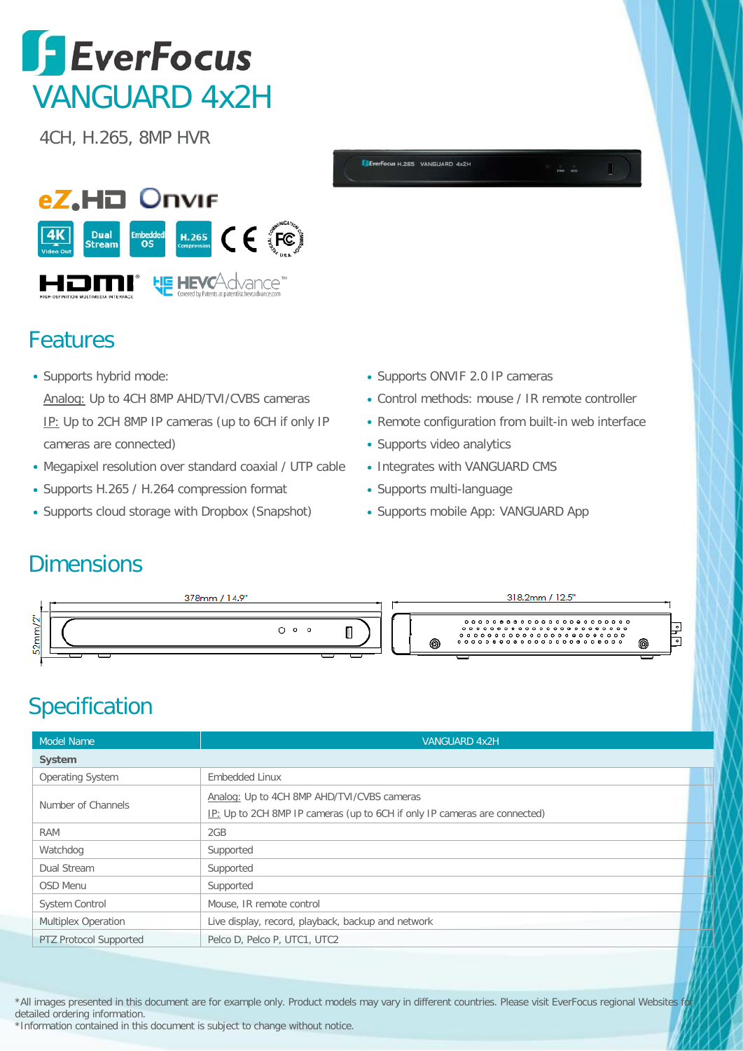## **SEVERTOCUS** VANGUARD 4x2H

4CH, H.265, 8MP HVR



## Features

- Supports hybrid mode: Analog: Up to 4CH 8MP AHD/TVI/CVBS cameras IP: Up to 2CH 8MP IP cameras (up to 6CH if only IP cameras are connected)
- Megapixel resolution over standard coaxial / UTP cable
- Supports H.265 / H.264 compression format
- Supports cloud storage with Dropbox (Snapshot)
- Supports ONVIF 2.0 IP cameras
- Control methods: mouse / IR remote controller
- Remote configuration from built-in web interface
- Supports video analytics

**CUSH 265 VANGUARD 4x25** 

- Integrates with VANGUARD CMS
- Supports multi-language
- Supports mobile App: VANGUARD App

## **Dimensions**



## Specification

| <b>VANGUARD 4x2H</b>                                                      |  |
|---------------------------------------------------------------------------|--|
|                                                                           |  |
| Embedded Linux                                                            |  |
| Analog: Up to 4CH 8MP AHD/TVI/CVBS cameras                                |  |
| IP: Up to 2CH 8MP IP cameras (up to 6CH if only IP cameras are connected) |  |
| 2GB                                                                       |  |
| Supported                                                                 |  |
| Supported                                                                 |  |
| Supported                                                                 |  |
| Mouse, IR remote control                                                  |  |
| Live display, record, playback, backup and network                        |  |
| Pelco D, Pelco P, UTC1, UTC2                                              |  |
|                                                                           |  |

\*All images presented in this document are for example only. Product models may vary in different countries. Please visit EverFocus regional Websites for detailed ordering information.

<sup>\*</sup>Information contained in this document is subject to change without notice.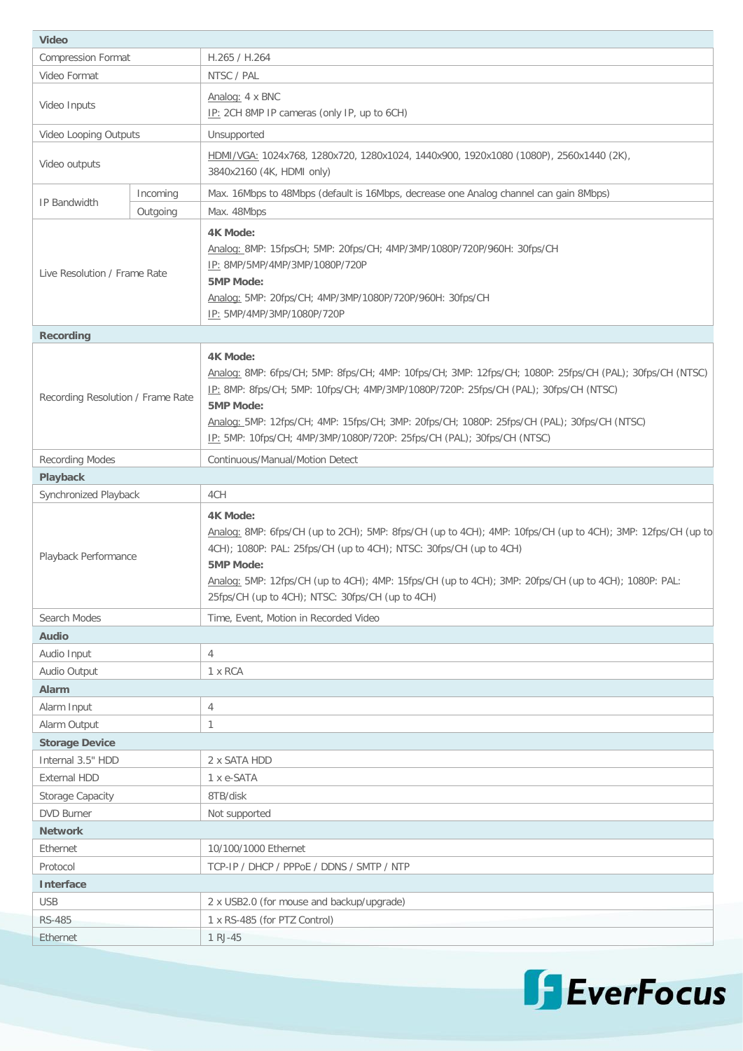| <b>Video</b>                       |          |                                                                                                                                |  |  |
|------------------------------------|----------|--------------------------------------------------------------------------------------------------------------------------------|--|--|
| <b>Compression Format</b>          |          | H.265 / H.264                                                                                                                  |  |  |
| Video Format                       |          | NTSC / PAL                                                                                                                     |  |  |
| Video Inputs                       |          | Analog: 4 x BNC                                                                                                                |  |  |
|                                    |          | IP: 2CH 8MP IP cameras (only IP, up to 6CH)                                                                                    |  |  |
| Video Looping Outputs              |          | Unsupported                                                                                                                    |  |  |
|                                    |          | HDMI/VGA: 1024x768, 1280x720, 1280x1024, 1440x900, 1920x1080 (1080P), 2560x1440 (2K),                                          |  |  |
| Video outputs                      |          | 3840x2160 (4K, HDMI only)                                                                                                      |  |  |
| IP Bandwidth                       | Incoming | Max. 16Mbps to 48Mbps (default is 16Mbps, decrease one Analog channel can gain 8Mbps)                                          |  |  |
|                                    | Outgoing | Max. 48Mbps                                                                                                                    |  |  |
|                                    |          | <b>4K Mode:</b>                                                                                                                |  |  |
|                                    |          | Analog: 8MP: 15fpsCH; 5MP: 20fps/CH; 4MP/3MP/1080P/720P/960H: 30fps/CH                                                         |  |  |
| Live Resolution / Frame Rate       |          | IP: 8MP/5MP/4MP/3MP/1080P/720P                                                                                                 |  |  |
|                                    |          | 5MP Mode:                                                                                                                      |  |  |
|                                    |          | Analog: 5MP: 20fps/CH; 4MP/3MP/1080P/720P/960H: 30fps/CH                                                                       |  |  |
|                                    |          | IP: 5MP/4MP/3MP/1080P/720P                                                                                                     |  |  |
| <b>Recording</b>                   |          |                                                                                                                                |  |  |
|                                    |          | <b>4K Mode:</b>                                                                                                                |  |  |
|                                    |          | Analog: 8MP: 6fps/CH; 5MP: 8fps/CH; 4MP: 10fps/CH; 3MP: 12fps/CH; 1080P: 25fps/CH (PAL); 30fps/CH (NTSC)                       |  |  |
| Recording Resolution / Frame Rate  |          | IP: 8MP: 8fps/CH; 5MP: 10fps/CH; 4MP/3MP/1080P/720P: 25fps/CH (PAL); 30fps/CH (NTSC)                                           |  |  |
|                                    |          | <b>5MP Mode:</b><br>Analog: 5MP: 12fps/CH; 4MP: 15fps/CH; 3MP: 20fps/CH; 1080P: 25fps/CH (PAL); 30fps/CH (NTSC)                |  |  |
|                                    |          | IP: 5MP: 10fps/CH; 4MP/3MP/1080P/720P: 25fps/CH (PAL); 30fps/CH (NTSC)                                                         |  |  |
| <b>Recording Modes</b>             |          | Continuous/Manual/Motion Detect                                                                                                |  |  |
| Playback                           |          |                                                                                                                                |  |  |
| Synchronized Playback              |          | 4CH                                                                                                                            |  |  |
|                                    |          |                                                                                                                                |  |  |
|                                    |          | <b>4K Mode:</b><br>Analog: 8MP: 6fps/CH (up to 2CH); 5MP: 8fps/CH (up to 4CH); 4MP: 10fps/CH (up to 4CH); 3MP: 12fps/CH (up to |  |  |
|                                    |          | 4CH); 1080P: PAL: 25fps/CH (up to 4CH); NTSC: 30fps/CH (up to 4CH)                                                             |  |  |
| Playback Performance               |          | <b>5MP Mode:</b>                                                                                                               |  |  |
|                                    |          | Analog: 5MP: 12fps/CH (up to 4CH); 4MP: 15fps/CH (up to 4CH); 3MP: 20fps/CH (up to 4CH); 1080P: PAL:                           |  |  |
|                                    |          | 25fps/CH (up to 4CH); NTSC: 30fps/CH (up to 4CH)                                                                               |  |  |
| Search Modes                       |          | Time, Event, Motion in Recorded Video                                                                                          |  |  |
| Audio                              |          |                                                                                                                                |  |  |
| Audio Input                        |          | 4                                                                                                                              |  |  |
| Audio Output                       |          | 1 x RCA                                                                                                                        |  |  |
| <b>Alarm</b>                       |          |                                                                                                                                |  |  |
| Alarm Input                        |          | 4                                                                                                                              |  |  |
| Alarm Output                       |          | $\mathbf{1}$                                                                                                                   |  |  |
| <b>Storage Device</b>              |          |                                                                                                                                |  |  |
| Internal 3.5" HDD                  |          | 2 x SATA HDD                                                                                                                   |  |  |
| <b>External HDD</b>                |          | 1 x e-SATA                                                                                                                     |  |  |
| Storage Capacity                   |          | 8TB/disk                                                                                                                       |  |  |
| <b>DVD Burner</b><br>Not supported |          |                                                                                                                                |  |  |
| <b>Network</b>                     |          |                                                                                                                                |  |  |
| Ethernet                           |          | 10/100/1000 Ethernet                                                                                                           |  |  |
| Protocol                           |          | TCP-IP / DHCP / PPPoE / DDNS / SMTP / NTP                                                                                      |  |  |
| <b>Interface</b>                   |          |                                                                                                                                |  |  |
| <b>USB</b>                         |          | 2 x USB2.0 (for mouse and backup/upgrade)                                                                                      |  |  |
| <b>RS-485</b><br>Ethernet          |          | 1 x RS-485 (for PTZ Control)<br>1 RJ-45                                                                                        |  |  |
|                                    |          |                                                                                                                                |  |  |